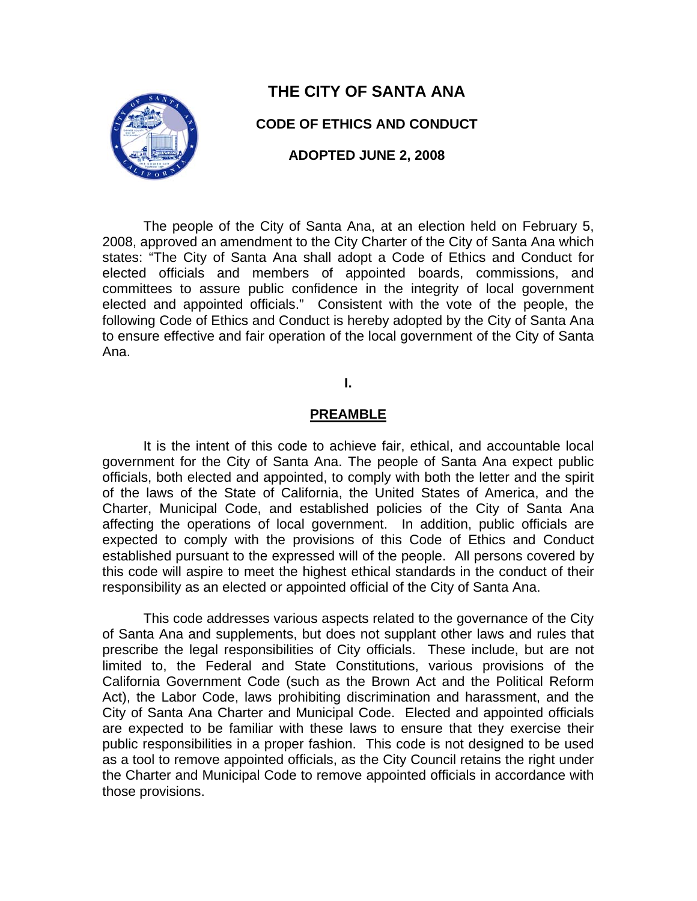

# **THE CITY OF SANTA ANA**

### **CODE OF ETHICS AND CONDUCT**

**ADOPTED JUNE 2, 2008** 

The people of the City of Santa Ana, at an election held on February 5, 2008, approved an amendment to the City Charter of the City of Santa Ana which states: "The City of Santa Ana shall adopt a Code of Ethics and Conduct for elected officials and members of appointed boards, commissions, and committees to assure public confidence in the integrity of local government elected and appointed officials." Consistent with the vote of the people, the following Code of Ethics and Conduct is hereby adopted by the City of Santa Ana to ensure effective and fair operation of the local government of the City of Santa Ana.

### **I.**

#### **PREAMBLE**

It is the intent of this code to achieve fair, ethical, and accountable local government for the City of Santa Ana. The people of Santa Ana expect public officials, both elected and appointed, to comply with both the letter and the spirit of the laws of the State of California, the United States of America, and the Charter, Municipal Code, and established policies of the City of Santa Ana affecting the operations of local government. In addition, public officials are expected to comply with the provisions of this Code of Ethics and Conduct established pursuant to the expressed will of the people. All persons covered by this code will aspire to meet the highest ethical standards in the conduct of their responsibility as an elected or appointed official of the City of Santa Ana.

This code addresses various aspects related to the governance of the City of Santa Ana and supplements, but does not supplant other laws and rules that prescribe the legal responsibilities of City officials. These include, but are not limited to, the Federal and State Constitutions, various provisions of the California Government Code (such as the Brown Act and the Political Reform Act), the Labor Code, laws prohibiting discrimination and harassment, and the City of Santa Ana Charter and Municipal Code. Elected and appointed officials are expected to be familiar with these laws to ensure that they exercise their public responsibilities in a proper fashion. This code is not designed to be used as a tool to remove appointed officials, as the City Council retains the right under the Charter and Municipal Code to remove appointed officials in accordance with those provisions.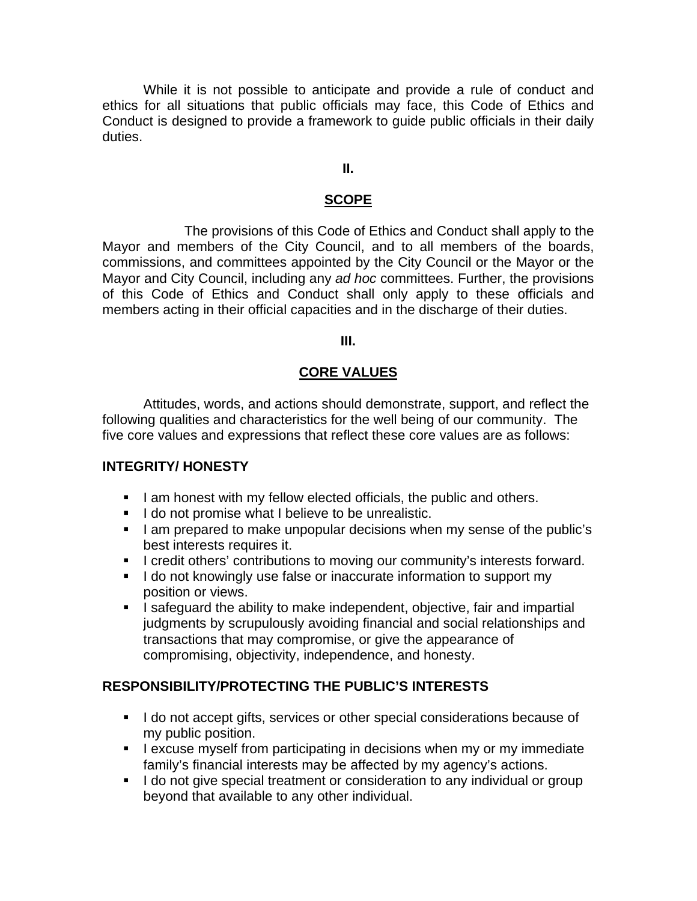While it is not possible to anticipate and provide a rule of conduct and ethics for all situations that public officials may face, this Code of Ethics and Conduct is designed to provide a framework to guide public officials in their daily duties.

#### **II.**

#### **SCOPE**

The provisions of this Code of Ethics and Conduct shall apply to the Mayor and members of the City Council, and to all members of the boards, commissions, and committees appointed by the City Council or the Mayor or the Mayor and City Council, including any *ad hoc* committees. Further, the provisions of this Code of Ethics and Conduct shall only apply to these officials and members acting in their official capacities and in the discharge of their duties.

#### **III.**

#### **CORE VALUES**

 Attitudes, words, and actions should demonstrate, support, and reflect the following qualities and characteristics for the well being of our community. The five core values and expressions that reflect these core values are as follows:

#### **INTEGRITY/ HONESTY**

- I am honest with my fellow elected officials, the public and others.
- I do not promise what I believe to be unrealistic.
- I am prepared to make unpopular decisions when my sense of the public's best interests requires it.
- I credit others' contributions to moving our community's interests forward.
- I do not knowingly use false or inaccurate information to support my position or views.
- I safeguard the ability to make independent, objective, fair and impartial judgments by scrupulously avoiding financial and social relationships and transactions that may compromise, or give the appearance of compromising, objectivity, independence, and honesty.

#### **RESPONSIBILITY/PROTECTING THE PUBLIC'S INTERESTS**

- I do not accept gifts, services or other special considerations because of my public position.
- **I** excuse myself from participating in decisions when my or my immediate family's financial interests may be affected by my agency's actions.
- I do not give special treatment or consideration to any individual or group beyond that available to any other individual.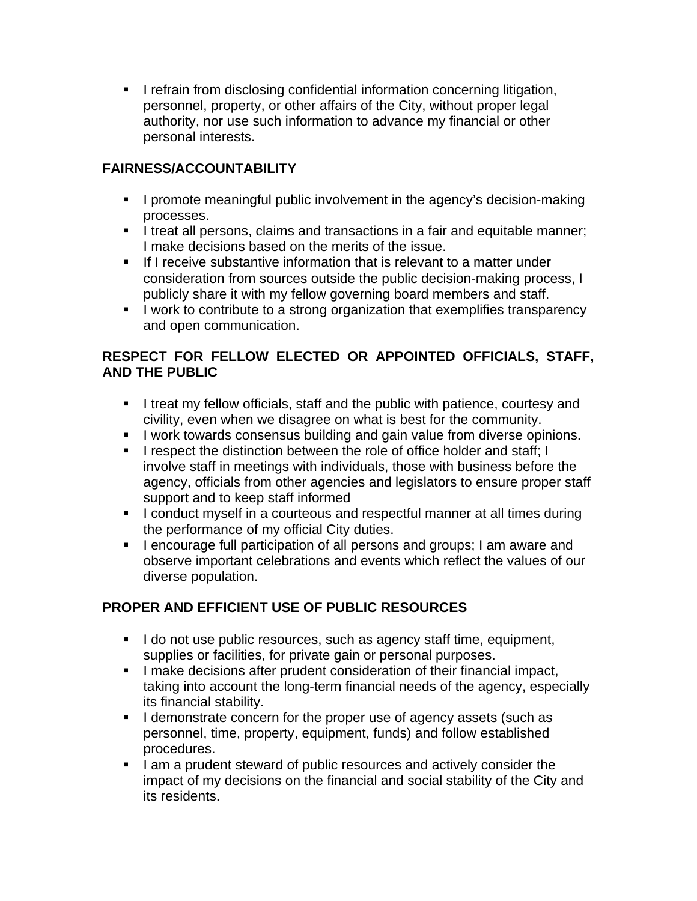**I** refrain from disclosing confidential information concerning litigation, personnel, property, or other affairs of the City, without proper legal authority, nor use such information to advance my financial or other personal interests.

## **FAIRNESS/ACCOUNTABILITY**

- **I** promote meaningful public involvement in the agency's decision-making processes.
- I treat all persons, claims and transactions in a fair and equitable manner; I make decisions based on the merits of the issue.
- If I receive substantive information that is relevant to a matter under consideration from sources outside the public decision-making process, I publicly share it with my fellow governing board members and staff.
- I work to contribute to a strong organization that exemplifies transparency and open communication.

## **RESPECT FOR FELLOW ELECTED OR APPOINTED OFFICIALS, STAFF, AND THE PUBLIC**

- I treat my fellow officials, staff and the public with patience, courtesy and civility, even when we disagree on what is best for the community.
- **I** work towards consensus building and gain value from diverse opinions.
- I respect the distinction between the role of office holder and staff; I involve staff in meetings with individuals, those with business before the agency, officials from other agencies and legislators to ensure proper staff support and to keep staff informed
- I conduct myself in a courteous and respectful manner at all times during the performance of my official City duties.
- **I** lencourage full participation of all persons and groups; I am aware and observe important celebrations and events which reflect the values of our diverse population.

# **PROPER AND EFFICIENT USE OF PUBLIC RESOURCES**

- I do not use public resources, such as agency staff time, equipment, supplies or facilities, for private gain or personal purposes.
- **I** make decisions after prudent consideration of their financial impact, taking into account the long-term financial needs of the agency, especially its financial stability.
- I demonstrate concern for the proper use of agency assets (such as personnel, time, property, equipment, funds) and follow established procedures.
- I am a prudent steward of public resources and actively consider the impact of my decisions on the financial and social stability of the City and its residents.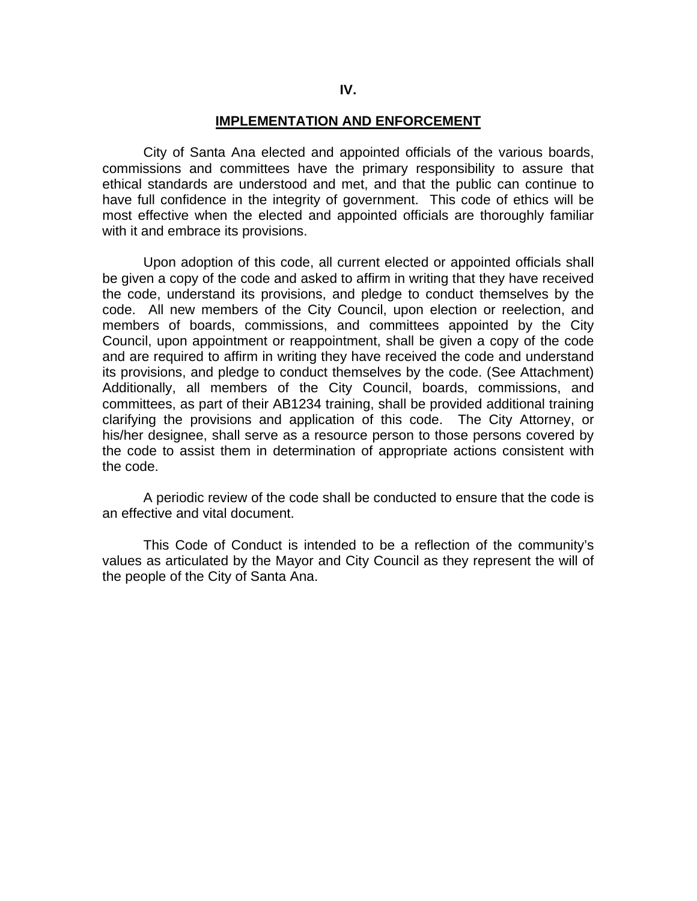#### **IMPLEMENTATION AND ENFORCEMENT**

 City of Santa Ana elected and appointed officials of the various boards, commissions and committees have the primary responsibility to assure that ethical standards are understood and met, and that the public can continue to have full confidence in the integrity of government. This code of ethics will be most effective when the elected and appointed officials are thoroughly familiar with it and embrace its provisions.

 Upon adoption of this code, all current elected or appointed officials shall be given a copy of the code and asked to affirm in writing that they have received the code, understand its provisions, and pledge to conduct themselves by the code. All new members of the City Council, upon election or reelection, and members of boards, commissions, and committees appointed by the City Council, upon appointment or reappointment, shall be given a copy of the code and are required to affirm in writing they have received the code and understand its provisions, and pledge to conduct themselves by the code. (See Attachment) Additionally, all members of the City Council, boards, commissions, and committees, as part of their AB1234 training, shall be provided additional training clarifying the provisions and application of this code. The City Attorney, or his/her designee, shall serve as a resource person to those persons covered by the code to assist them in determination of appropriate actions consistent with the code.

 A periodic review of the code shall be conducted to ensure that the code is an effective and vital document.

 This Code of Conduct is intended to be a reflection of the community's values as articulated by the Mayor and City Council as they represent the will of the people of the City of Santa Ana.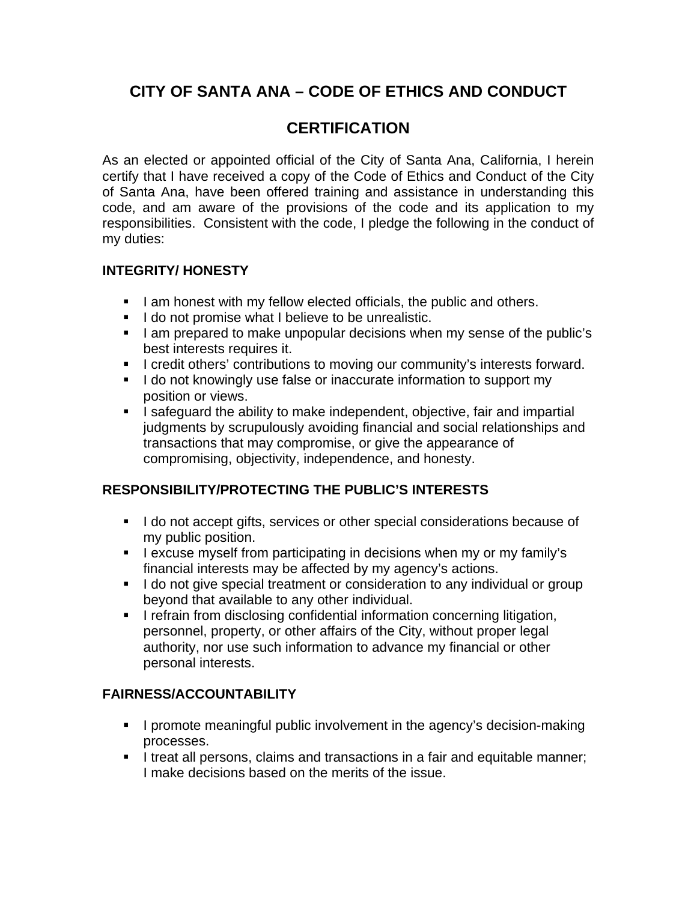# **CITY OF SANTA ANA – CODE OF ETHICS AND CONDUCT**

# **CERTIFICATION**

As an elected or appointed official of the City of Santa Ana, California, I herein certify that I have received a copy of the Code of Ethics and Conduct of the City of Santa Ana, have been offered training and assistance in understanding this code, and am aware of the provisions of the code and its application to my responsibilities. Consistent with the code, I pledge the following in the conduct of my duties:

### **INTEGRITY/ HONESTY**

- I am honest with my fellow elected officials, the public and others.
- I do not promise what I believe to be unrealistic.
- I am prepared to make unpopular decisions when my sense of the public's best interests requires it.
- I credit others' contributions to moving our community's interests forward.
- I do not knowingly use false or inaccurate information to support my position or views.
- I safeguard the ability to make independent, objective, fair and impartial judgments by scrupulously avoiding financial and social relationships and transactions that may compromise, or give the appearance of compromising, objectivity, independence, and honesty.

## **RESPONSIBILITY/PROTECTING THE PUBLIC'S INTERESTS**

- I do not accept gifts, services or other special considerations because of my public position.
- **I** excuse myself from participating in decisions when my or my family's financial interests may be affected by my agency's actions.
- I do not give special treatment or consideration to any individual or group beyond that available to any other individual.
- **I** refrain from disclosing confidential information concerning litigation, personnel, property, or other affairs of the City, without proper legal authority, nor use such information to advance my financial or other personal interests.

## **FAIRNESS/ACCOUNTABILITY**

- **I** promote meaningful public involvement in the agency's decision-making processes.
- I treat all persons, claims and transactions in a fair and equitable manner; I make decisions based on the merits of the issue.